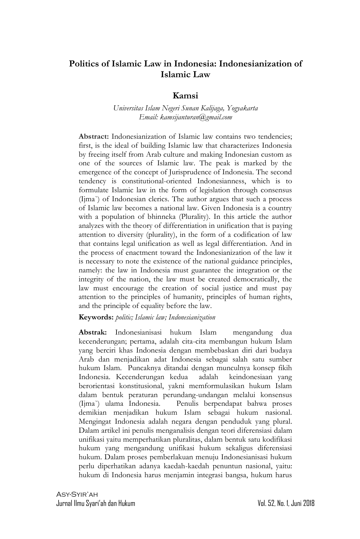### **Politics of Islamic Law in Indonesia: Indonesianization of Islamic Law**

#### **Kamsi**

*Universitas Islam Negeri Sunan Kalijaga, Yogyakarta Email: kamsijanturan@gmail.com*

**Abstract:** Indonesianization of Islamic law contains two tendencies; first, is the ideal of building Islamic law that characterizes Indonesia by freeing itself from Arab culture and making Indonesian custom as one of the sources of Islamic law. The peak is marked by the emergence of the concept of Jurisprudence of Indonesia. The second tendency is constitutional-oriented Indonesianness, which is to formulate Islamic law in the form of legislation through consensus (Ijma`) of Indonesian clerics. The author argues that such a process of Islamic law becomes a national law. Given Indonesia is a country with a population of bhinneka (Plurality). In this article the author analyzes with the theory of differentiation in unification that is paying attention to diversity (plurality), in the form of a codification of law that contains legal unification as well as legal differentiation. And in the process of enactment toward the Indonesianization of the law it is necessary to note the existence of the national guidance principles, namely: the law in Indonesia must guarantee the integration or the integrity of the nation, the law must be created democratically, the law must encourage the creation of social justice and must pay attention to the principles of humanity, principles of human rights, and the principle of equality before the law.

**Keywords:** *politic; Islamic law; Indonesianization*

**Abstrak:** Indonesianisasi hukum Islam mengandung dua kecenderungan; pertama, adalah cita-cita membangun hukum Islam yang berciri khas Indonesia dengan membebaskan diri dari budaya Arab dan menjadikan adat Indonesia sebagai salah satu sumber hukum Islam. Puncaknya ditandai dengan munculnya konsep fikih Indonesia. Kecenderungan kedua adalah keindonesiaan yang berorientasi konstitusional, yakni memformulasikan hukum Islam dalam bentuk peraturan perundang-undangan melalui konsensus (Ijma`) ulama Indonesia. Penulis berpendapat bahwa proses demikian menjadikan hukum Islam sebagai hukum nasional. Mengingat Indonesia adalah negara dengan penduduk yang plural. Dalam artikel ini penulis menganalisis dengan teori diferensiasi dalam unifikasi yaitu memperhatikan pluralitas, dalam bentuk satu kodifikasi hukum yang mengandung unifikasi hukum sekaligus diferensiasi hukum. Dalam proses pemberlakuan menuju Indonesianisasi hukum perlu diperhatikan adanya kaedah-kaedah penuntun nasional, yaitu: hukum di Indonesia harus menjamin integrasi bangsa, hukum harus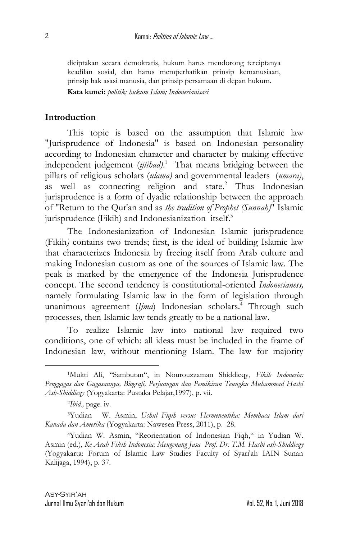diciptakan secara demokratis, hukum harus mendorong terciptanya keadilan sosial, dan harus memperhatikan prinsip kemanusiaan, prinsip hak asasi manusia, dan prinsip persamaan di depan hukum. **Kata kunci:** *politik; hukum Islam; Indonesianisasi*

### **Introduction**

This topic is based on the assumption that Islamic law "Jurisprudence of Indonesia" is based on Indonesian personality according to Indonesian character and character by making effective independent judgement (*ijtihad)*. 1 That means bridging between the pillars of religious scholars (*ulama)* and governmental leaders (*umara)*, as well as connecting religion and state.<sup>2</sup> Thus Indonesian jurisprudence is a form of dyadic relationship between the approach of "Return to the Qur'an and as *the tradition of Prophet (Sunnah)*" Islamic jurisprudence (Fikih) and Indonesianization itself. 3

The Indonesianization of Indonesian Islamic jurisprudence (Fikih*)* contains two trends; first, is the ideal of building Islamic law that characterizes Indonesia by freeing itself from Arab culture and making Indonesian custom as one of the sources of Islamic law. The peak is marked by the emergence of the Indonesia Jurisprudence concept. The second tendency is constitutional-oriented *Indonesianess,* namely formulating Islamic law in the form of legislation through unanimous agreement (*Ijma*) Indonesian scholars. <sup>4</sup> Through such processes, then Islamic law tends greatly to be a national law.

To realize Islamic law into national law required two conditions, one of which: all ideas must be included in the frame of Indonesian law, without mentioning Islam. The law for majority

<sup>1</sup>Mukti Ali, "Sambutan", in Nourouzzaman Shiddieqy, *Fikih Indonesia: Penggagas dan Gagasannya, Biografi, Perjuangan dan Pemikiran Teungku Muhammad Hasbi Ash-Shiddieqy* (Yogyakarta: Pustaka Pelajar,1997), p. vii.

<sup>2</sup> *Ibid.,* page. iv.

<sup>3</sup>Yudian W. Asmin, *Ushul Fiqih versus Hermeneutika: Membaca Islam dari Kanada dan Amerika* (Yogyakarta: Nawesea Press, 2011), p. 28.

<sup>4</sup>Yudian W. Asmin, "Reorientation of Indonesian Fiqh," in Yudian W. Asmin (ed.), *Ke Arah Fikih Indonesia: Mengenang Jasa Prof. Dr. T.M. Hasbi ash-Shiddieqy* (Yogyakarta: Forum of Islamic Law Studies Faculty of Syari'ah IAIN Sunan Kalijaga, 1994), p. 37.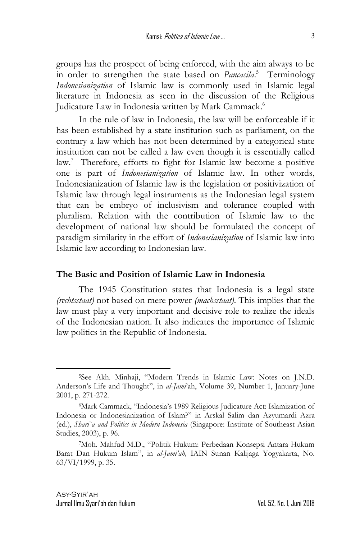groups has the prospect of being enforced, with the aim always to be in order to strengthen the state based on *Pancasila*. 5 Terminology *Indonesianization* of Islamic law is commonly used in Islamic legal literature in Indonesia as seen in the discussion of the Religious Judicature Law in Indonesia written by Mark Cammack. 6

In the rule of law in Indonesia, the law will be enforceable if it has been established by a state institution such as parliament, on the contrary a law which has not been determined by a categorical state institution can not be called a law even though it is essentially called law. 7 Therefore, efforts to fight for Islamic law become a positive one is part of *Indonesianization* of Islamic law. In other words, Indonesianization of Islamic law is the legislation or positivization of Islamic law through legal instruments as the Indonesian legal system that can be embryo of inclusivism and tolerance coupled with pluralism. Relation with the contribution of Islamic law to the development of national law should be formulated the concept of paradigm similarity in the effort of *Indonesianization* of Islamic law into Islamic law according to Indonesian law.

#### **The Basic and Position of Islamic Law in Indonesia**

The 1945 Constitution states that Indonesia is a legal state *(rechtsstaat)* not based on mere power *(machsstaat)*. This implies that the law must play a very important and decisive role to realize the ideals of the Indonesian nation. It also indicates the importance of Islamic law politics in the Republic of Indonesia.

3

<sup>5</sup>See Akh. Minhaji, "Modern Trends in Islamic Law: Notes on J.N.D. Anderson's Life and Thought", in *al*-*Jami*'ah, Volume 39, Number 1, January-June 2001, p. 271-272.

<sup>6</sup>Mark Cammack, "Indonesia's 1989 Religious Judicature Act: Islamization of Indonesia or Indonesianization of Islam?" in Arskal Salim dan Azyumardi Azra (ed.), *Shari`a and Politics in Modern Indonesia* (Singapore: Institute of Southeast Asian Studies, 2003), p. 96.

<sup>7</sup>Moh. Mahfud M.D., "Politik Hukum: Perbedaan Konsepsi Antara Hukum Barat Dan Hukum Islam", in *al-Jami'ah,* IAIN Sunan Kalijaga Yogyakarta, No. 63/VI/1999, p. 35.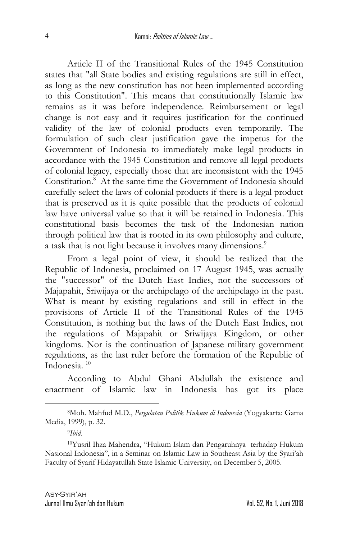Article II of the Transitional Rules of the 1945 Constitution states that "all State bodies and existing regulations are still in effect, as long as the new constitution has not been implemented according to this Constitution". This means that constitutionally Islamic law remains as it was before independence. Reimbursement or legal change is not easy and it requires justification for the continued validity of the law of colonial products even temporarily. The formulation of such clear justification gave the impetus for the Government of Indonesia to immediately make legal products in accordance with the 1945 Constitution and remove all legal products of colonial legacy, especially those that are inconsistent with the 1945 Constitution. 8 At the same time the Government of Indonesia should carefully select the laws of colonial products if there is a legal product that is preserved as it is quite possible that the products of colonial law have universal value so that it will be retained in Indonesia. This constitutional basis becomes the task of the Indonesian nation through political law that is rooted in its own philosophy and culture, a task that is not light because it involves many dimensions.<sup>9</sup>

From a legal point of view, it should be realized that the Republic of Indonesia, proclaimed on 17 August 1945, was actually the "successor" of the Dutch East Indies, not the successors of Majapahit, Sriwijaya or the archipelago of the archipelago in the past. What is meant by existing regulations and still in effect in the provisions of Article II of the Transitional Rules of the 1945 Constitution, is nothing but the laws of the Dutch East Indies, not the regulations of Majapahit or Sriwijaya Kingdom, or other kingdoms. Nor is the continuation of Japanese military government regulations, as the last ruler before the formation of the Republic of Indonesia. 10

According to Abdul Ghani Abdullah the existence and enactment of Islamic law in Indonesia has got its place

<sup>8</sup>Moh. Mahfud M.D., *Pergulatan Politik Hukum di Indonesia* (Yogyakarta: Gama Media, 1999), p. 32.

<sup>9</sup> *Ibid.*

<sup>10</sup>Yusril Ihza Mahendra, "Hukum Islam dan Pengaruhnya terhadap Hukum Nasional Indonesia", in a Seminar on Islamic Law in Southeast Asia by the Syari'ah Faculty of Syarif Hidayatullah State Islamic University, on December 5, 2005.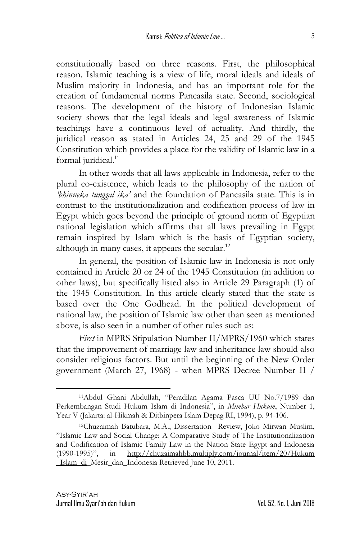constitutionally based on three reasons. First, the philosophical reason. Islamic teaching is a view of life, moral ideals and ideals of Muslim majority in Indonesia, and has an important role for the creation of fundamental norms Pancasila state. Second, sociological reasons. The development of the history of Indonesian Islamic society shows that the legal ideals and legal awareness of Islamic teachings have a continuous level of actuality. And thirdly, the juridical reason as stated in Articles 24, 25 and 29 of the 1945 Constitution which provides a place for the validity of Islamic law in a formal juridical.<sup>11</sup>

In other words that all laws applicable in Indonesia, refer to the plural co-existence, which leads to the philosophy of the nation of *'bhinneka tunggal ika'* and the foundation of Pancasila state. This is in contrast to the institutionalization and codification process of law in Egypt which goes beyond the principle of ground norm of Egyptian national legislation which affirms that all laws prevailing in Egypt remain inspired by Islam which is the basis of Egyptian society, although in many cases, it appears the secular.<sup>12</sup>

In general, the position of Islamic law in Indonesia is not only contained in Article 20 or 24 of the 1945 Constitution (in addition to other laws), but specifically listed also in Article 29 Paragraph (1) of the 1945 Constitution. In this article clearly stated that the state is based over the One Godhead. In the political development of national law, the position of Islamic law other than seen as mentioned above, is also seen in a number of other rules such as:

*First* in MPRS Stipulation Number II/MPRS/1960 which states that the improvement of marriage law and inheritance law should also consider religious factors. But until the beginning of the New Order government (March 27, 1968) - when MPRS Decree Number II /

<sup>11</sup>Abdul Ghani Abdullah, "Peradilan Agama Pasca UU No.7/1989 dan Perkembangan Studi Hukum Islam di Indonesia", in *Mimbar Hukum*, Number 1, Year V (Jakarta: al-Hikmah & Ditbinpera Islam Depag RI, 1994), p. 94-106.

<sup>12</sup>Chuzaimah Batubara, M.A., Dissertation Review, Joko Mirwan Muslim, "Islamic Law and Social Change: A Comparative Study of The Institutionalization and Codification of Islamic Family Law in the Nation State Egypt and Indonesia (1990-1995)", in [http://chuzaimahbb.multiply.com/journal/item/20/Hukum](http://chuzaimahbb.multiply.com/journal/item/20/Hukum%20_Islam_di)  [\\_Islam\\_di\\_](http://chuzaimahbb.multiply.com/journal/item/20/Hukum%20_Islam_di)Mesir\_dan\_Indonesia Retrieved June 10, 2011.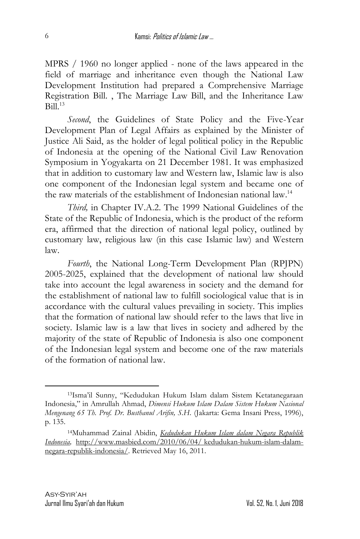MPRS / 1960 no longer applied - none of the laws appeared in the field of marriage and inheritance even though the National Law Development Institution had prepared a Comprehensive Marriage Registration Bill. , The Marriage Law Bill, and the Inheritance Law  $Bil<sup>13</sup>$ 

Second, the Guidelines of State Policy and the Five-Year Development Plan of Legal Affairs as explained by the Minister of Justice Ali Said, as the holder of legal political policy in the Republic of Indonesia at the opening of the National Civil Law Renovation Symposium in Yogyakarta on 21 December 1981. It was emphasized that in addition to customary law and Western law, Islamic law is also one component of the Indonesian legal system and became one of the raw materials of the establishment of Indonesian national law.<sup>14</sup>

*Third,* in Chapter IV.A.2. The 1999 National Guidelines of the State of the Republic of Indonesia, which is the product of the reform era, affirmed that the direction of national legal policy, outlined by customary law, religious law (in this case Islamic law) and Western law.

*Fourth*, the National Long-Term Development Plan (RPJPN) 2005-2025, explained that the development of national law should take into account the legal awareness in society and the demand for the establishment of national law to fulfill sociological value that is in accordance with the cultural values prevailing in society. This implies that the formation of national law should refer to the laws that live in society. Islamic law is a law that lives in society and adhered by the majority of the state of Republic of Indonesia is also one component of the Indonesian legal system and become one of the raw materials of the formation of national law.

<sup>13</sup>Isma'il Sunny, "Kedudukan Hukum Islam dalam Sistem Ketatanegaraan Indonesia," in Amrullah Ahmad, *Dimensi Hukum Islam Dalam Sistem Hukum Nasional Mengenang 65 Th. Prof. Dr. Busthanul Arifin, S.H.* (Jakarta: Gema Insani Press, 1996), p. 135.

<sup>14</sup>Muhammad Zainal Abidin, *[Kedudukan Hukum Islam dalam Negara Republik](http://www.masbied.com/2010/06/04/kedudukan-hukum-islam-dalam-negara-republik-indonesia/)  [Indonesia,](http://www.masbied.com/2010/06/04/kedudukan-hukum-islam-dalam-negara-republik-indonesia/)* [http://www.masbied.com/2010/06/04/](http://www.masbied.com/2010/06/04/%20kedudukan-hukum-islam-dalam-negara-republik-indonesia/) kedudukan-hukum-islam-dalam[negara-republik-indonesia/.](http://www.masbied.com/2010/06/04/%20kedudukan-hukum-islam-dalam-negara-republik-indonesia/) Retrieved May 16, 2011.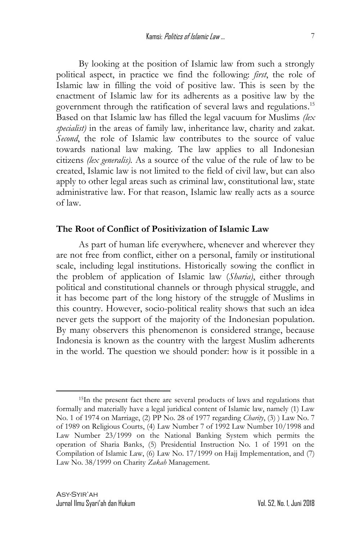By looking at the position of Islamic law from such a strongly political aspect, in practice we find the following: *first*, the role of Islamic law in filling the void of positive law. This is seen by the enactment of Islamic law for its adherents as a positive law by the government through the ratification of several laws and regulations. 15 Based on that Islamic law has filled the legal vacuum for Muslims *(lex specialist)* in the areas of family law, inheritance law, charity and zakat. *Second*, the role of Islamic law contributes to the source of value towards national law making. The law applies to all Indonesian citizens *(lex generalis).* As a source of the value of the rule of law to be created, Islamic law is not limited to the field of civil law, but can also apply to other legal areas such as criminal law, constitutional law, state administrative law. For that reason, Islamic law really acts as a source of law.

### **The Root of Conflict of Positivization of Islamic Law**

As part of human life everywhere, whenever and wherever they are not free from conflict, either on a personal, family or institutional scale, including legal institutions. Historically sowing the conflict in the problem of application of Islamic law (*Sharia)*, either through political and constitutional channels or through physical struggle, and it has become part of the long history of the struggle of Muslims in this country. However, socio-political reality shows that such an idea never gets the support of the majority of the Indonesian population. By many observers this phenomenon is considered strange, because Indonesia is known as the country with the largest Muslim adherents in the world. The question we should ponder: how is it possible in a

<sup>15</sup>In the present fact there are several products of laws and regulations that formally and materially have a legal juridical content of Islamic law, namely (1) Law No. 1 of 1974 on Marriage, (2) PP No. 28 of 1977 regarding *Charity*, (3) ) Law No. 7 of 1989 on Religious Courts, (4) Law Number 7 of 1992 Law Number 10/1998 and Law Number 23/1999 on the National Banking System which permits the operation of Sharia Banks, (5) Presidential Instruction No. 1 of 1991 on the Compilation of Islamic Law, (6) Law No. 17/1999 on Hajj Implementation, and (7) Law No. 38/1999 on Charity *Zakah* Management.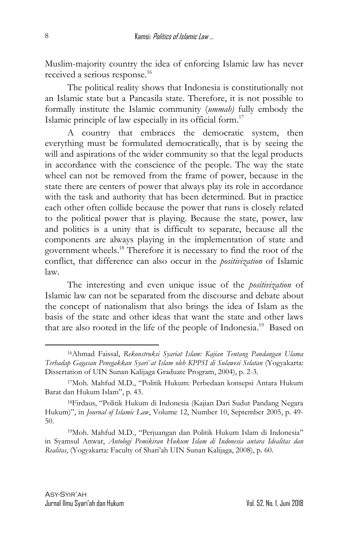Muslim-majority country the idea of enforcing Islamic law has never received a serious response. 16

The political reality shows that Indonesia is constitutionally not an Islamic state but a Pancasila state. Therefore, it is not possible to formally institute the Islamic community (*ummah)* fully embody the Islamic principle of law especially in its official form. 17

A country that embraces the democratic system, then everything must be formulated democratically, that is by seeing the will and aspirations of the wider community so that the legal products in accordance with the conscience of the people. The way the state wheel can not be removed from the frame of power, because in the state there are centers of power that always play its role in accordance with the task and authority that has been determined. But in practice each other often collide because the power that runs is closely related to the political power that is playing. Because the state, power, law and politics is a unity that is difficult to separate, because all the components are always playing in the implementation of state and government wheels.<sup>18</sup> Therefore it is necessary to find the root of the conflict, that difference can also occur in the *positivization* of Islamic law.

The interesting and even unique issue of the *positivization* of Islamic law can not be separated from the discourse and debate about the concept of nationalism that also brings the idea of Islam as the basis of the state and other ideas that want the state and other laws that are also rooted in the life of the people of Indonesia.<sup>19</sup> Based on

<sup>16</sup>Ahmad Faissal, *Rekonstruksi Syariat Islam: Kajian Tentang Pandangan Ulama Terhadap Gagasan Penegakkan Syari`at Islam oleh KPPSI di Sulawesi Selatan* (Yogyakarta: Dissertation of UIN Sunan Kalijaga Graduate Program, 2004), p. 2-3.

<sup>17</sup>Moh. Mahfud M.D., "Politik Hukum: Perbedaan konsepsi Antara Hukum Barat dan Hukum Islam", p. 43.

<sup>18</sup>Firdaus, "Politik Hukum di Indonesia (Kajian Dari Sudut Pandang Negara Hukum)", in *Journal of Islamic Law*, Volume 12, Number 10, September 2005, p. 49- 50.

<sup>19</sup>Moh. Mahfud M.D., "Perjuangan dan Politik Hukum Islam di Indonesia" in Syamsul Anwar, *Antologi Pemikiran Hukum Islam di Indonesia antara Idealitas dan Realitas*, (Yogyakarta: Faculty of Shari'ah UIN Sunan Kalijaga, 2008), p. 60.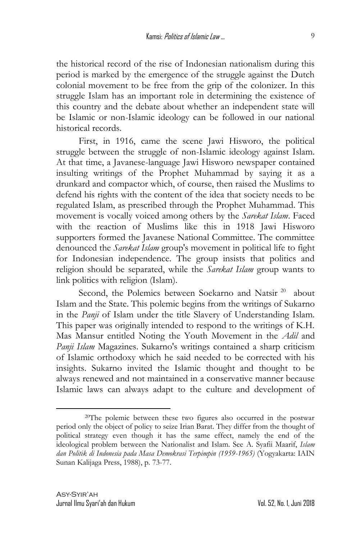the historical record of the rise of Indonesian nationalism during this period is marked by the emergence of the struggle against the Dutch colonial movement to be free from the grip of the colonizer. In this struggle Islam has an important role in determining the existence of this country and the debate about whether an independent state will be Islamic or non-Islamic ideology can be followed in our national historical records.

First, in 1916, came the scene Jawi Hisworo, the political struggle between the struggle of non-Islamic ideology against Islam. At that time, a Javanese-language Jawi Hisworo newspaper contained insulting writings of the Prophet Muhammad by saying it as a drunkard and compactor which, of course, then raised the Muslims to defend his rights with the content of the idea that society needs to be regulated Islam, as prescribed through the Prophet Muhammad. This movement is vocally voiced among others by the *Sarekat Islam*. Faced with the reaction of Muslims like this in 1918 Jawi Hisworo supporters formed the Javanese National Committee. The committee denounced the *Sarekat Islam* group's movement in political life to fight for Indonesian independence. The group insists that politics and religion should be separated, while the *Sarekat Islam* group wants to link politics with religion (Islam).

Second, the Polemics between Soekarno and Natsir<sup>20</sup> about Islam and the State. This polemic begins from the writings of Sukarno in the *Panji* of Islam under the title Slavery of Understanding Islam. This paper was originally intended to respond to the writings of K.H. Mas Mansur entitled Noting the Youth Movement in the *Adil* and *Panji Islam* Magazines. Sukarno's writings contained a sharp criticism of Islamic orthodoxy which he said needed to be corrected with his insights. Sukarno invited the Islamic thought and thought to be always renewed and not maintained in a conservative manner because Islamic laws can always adapt to the culture and development of

<sup>20</sup>The polemic between these two figures also occurred in the postwar period only the object of policy to seize Irian Barat. They differ from the thought of political strategy even though it has the same effect, namely the end of the ideological problem between the Nationalist and Islam. See A. Syafii Maarif, *Islam dan Politik di Indonesia pada Masa Demokrasi Terpimpin (1959-1965)* (Yogyakarta: IAIN Sunan Kalijaga Press, 1988), p*.* 73-77.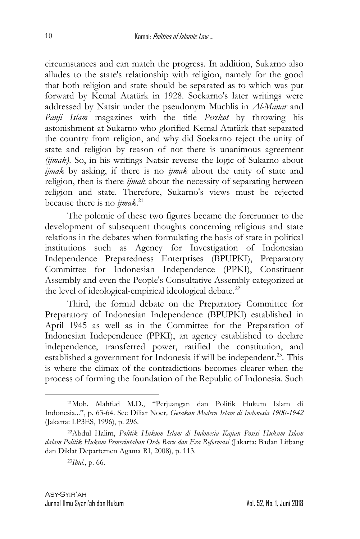circumstances and can match the progress. In addition, Sukarno also alludes to the state's relationship with religion, namely for the good that both religion and state should be separated as to which was put forward by Kemal Atatürk in 1928. Soekarno's later writings were addressed by Natsir under the pseudonym Muchlis in *Al-Manar* and *Panji Islam* magazines with the title *Perskot* by throwing his astonishment at Sukarno who glorified Kemal Atatürk that separated the country from religion, and why did Soekarno reject the unity of state and religion by reason of not there is unanimous agreement *(ijmak)*. So, in his writings Natsir reverse the logic of Sukarno about *ijmak* by asking, if there is no *ijmak* about the unity of state and religion, then is there *ijmak* about the necessity of separating between religion and state. Therefore, Sukarno's views must be rejected because there is no *ijmak*. 21

The polemic of these two figures became the forerunner to the development of subsequent thoughts concerning religious and state relations in the debates when formulating the basis of state in political institutions such as Agency for Investigation of Indonesian Independence Preparedness Enterprises (BPUPKI), Preparatory Committee for Indonesian Independence (PPKI), Constituent Assembly and even the People's Consultative Assembly categorized at the level of ideological-empirical ideological debate*. 22*

Third, the formal debate on the Preparatory Committee for Preparatory of Indonesian Independence (BPUPKI) established in April 1945 as well as in the Committee for the Preparation of Indonesian Independence (PPKI), an agency established to declare independence, transferred power, ratified the constitution, and established a government for Indonesia if will be independent.<sup>23</sup>. This is where the climax of the contradictions becomes clearer when the process of forming the foundation of the Republic of Indonesia. Such

<sup>21</sup>Moh. Mahfud M.D., "Perjuangan dan Politik Hukum Islam di Indonesia...", p. 63-64. See Diliar Noer*, Gerakan Modern Islam di Indonesia 1900-1942* (Jakarta: LP3ES, 1996), p. 296.

<sup>22</sup>Abdul Halim, *Politik Hukum Islam di Indonesia Kajian Posisi Hukum Islam dalam Politik Hukum Pemerintahan Orde Baru dan Era Reformasi* (Jakarta: Badan Litbang dan Diklat Departemen Agama RI, 2008), p. 113.

<sup>23</sup>*Ibid*., p. 66.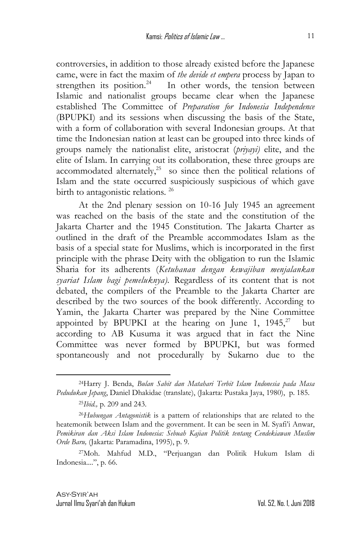controversies, in addition to those already existed before the Japanese came, were in fact the maxim of *the devide et empera* process by Japan to strengthen its position.<sup>24</sup> In other words, the tension between Islamic and nationalist groups became clear when the Japanese established The Committee of *Preparation for Indonesia Independence* (BPUPKI) and its sessions when discussing the basis of the State, with a form of collaboration with several Indonesian groups. At that time the Indonesian nation at least can be grouped into three kinds of groups namely the nationalist elite, aristocrat (*priyayi)* elite, and the elite of Islam. In carrying out its collaboration, these three groups are accommodated alternately, $25$  so since then the political relations of Islam and the state occurred suspiciously suspicious of which gave birth to antagonistic relations*.* 26

At the 2nd plenary session on 10-16 July 1945 an agreement was reached on the basis of the state and the constitution of the Jakarta Charter and the 1945 Constitution. The Jakarta Charter as outlined in the draft of the Preamble accommodates Islam as the basis of a special state for Muslims, which is incorporated in the first principle with the phrase Deity with the obligation to run the Islamic Sharia for its adherents (*Ketuhanan dengan kewajiban menjalankan syariat Islam bagi pemeluknya).* Regardless of its content that is not debated, the compilers of the Preamble to the Jakarta Charter are described by the two sources of the book differently. According to Yamin, the Jakarta Charter was prepared by the Nine Committee appointed by BPUPKI at the hearing on June 1,  $1945$ , $^{27}$  but according to AB Kusuma it was argued that in fact the Nine Committee was never formed by BPUPKI, but was formed spontaneously and not procedurally by Sukarno due to the

<sup>24</sup>Harry J. Benda, *Bulan Sabit dan Matahari Terbit Islam Indonesia pada Masa Pedudukan Jepang*, Daniel Dhakidae (translate), (Jakarta: Pustaka Jaya, 1980), p. 185.

<sup>25</sup>*Ibid.,* p. 209 and 243.

<sup>26</sup>*Hubungan Antagonistik* is a pattern of relationships that are related to the heatemonik between Islam and the government. It can be seen in M. Syafi'i Anwar, *Pemikiran dan Aksi Islam Indonesia: Sebuah Kajian Politik tentang Cendekiawan Muslim Orde Baru,* (Jakarta: Paramadina, 1995), p. 9.

<sup>27</sup>Moh. Mahfud M.D., "Perjuangan dan Politik Hukum Islam di Indonesia....", p. 66.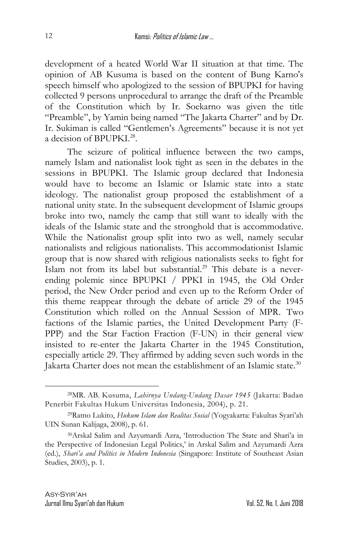development of a heated World War II situation at that time. The opinion of AB Kusuma is based on the content of Bung Karno's speech himself who apologized to the session of BPUPKI for having collected 9 persons unprocedural to arrange the draft of the Preamble of the Constitution which by Ir. Soekarno was given the title "Preamble", by Yamin being named "The Jakarta Charter" and by Dr. Ir. Sukiman is called "Gentlemen's Agreements" because it is not yet a decision of BPUPKI.<sup>28</sup>.

The seizure of political influence between the two camps, namely Islam and nationalist look tight as seen in the debates in the sessions in BPUPKI. The Islamic group declared that Indonesia would have to become an Islamic or Islamic state into a state ideology. The nationalist group proposed the establishment of a national unity state. In the subsequent development of Islamic groups broke into two, namely the camp that still want to ideally with the ideals of the Islamic state and the stronghold that is accommodative. While the Nationalist group split into two as well, namely secular nationalists and religious nationalists. This accommodationist Islamic group that is now shared with religious nationalists seeks to fight for Islam not from its label but substantial. <sup>29</sup> This debate is a neverending polemic since BPUPKI / PPKI in 1945, the Old Order period, the New Order period and even up to the Reform Order of this theme reappear through the debate of article 29 of the 1945 Constitution which rolled on the Annual Session of MPR. Two factions of the Islamic parties, the United Development Party (F-PPP) and the Star Faction Fraction (F-UN) in their general view insisted to re-enter the Jakarta Charter in the 1945 Constitution, especially article 29. They affirmed by adding seven such words in the Jakarta Charter does not mean the establishment of an Islamic state.<sup>30</sup>

<sup>28</sup>MR. AB. Kusuma, *Lahirnya Undang-Undang Dasar 1945* (Jakarta: Badan Penerbit Fakultas Hukum Universitas Indonesia, 2004), p. 21.

<sup>29</sup>Ratno Lukito, *Hukum Islam dan Realitas Sosial* (Yogyakarta: Fakultas Syari'ah UIN Sunan Kalijaga, 2008), p. 61.

<sup>30</sup>Arskal Salim and Azyumardi Azra, 'Introduction The State and Shari'a in the Perspective of Indonesian Legal Politics,' in Arskal Salim and Azyumardi Azra (ed.), *Shari'a and Politics in Modern Indonesia* (Singapore: Institute of Southeast Asian Studies, 2003), p. 1.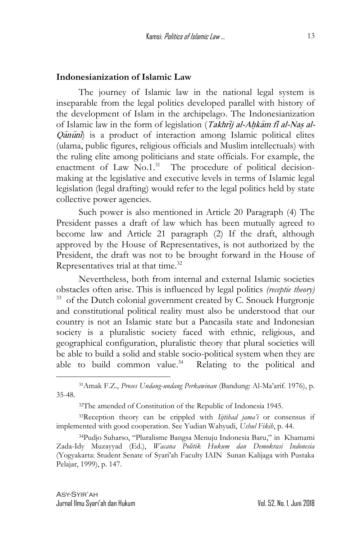#### **Indonesianization of Islamic Law**

The journey of Islamic law in the national legal system is inseparable from the legal politics developed parallel with history of the development of Islam in the archipelago. The Indonesianization of Islamic law in the form of legislation (Takhrij al-Ahkam fi al-Nas al- $\overline{O}$  $\overline{a}$  $\overline{n}$  $\overline{n}$  is a product of interaction among Islamic political elites (ulama, public figures, religious officials and Muslim intellectuals) with the ruling elite among politicians and state officials. For example, the enactment of Law No.1.<sup>31</sup> The procedure of political decisionmaking at the legislative and executive levels in terms of Islamic legal legislation (legal drafting) would refer to the legal politics held by state collective power agencies.

Such power is also mentioned in Article 20 Paragraph (4) The President passes a draft of law which has been mutually agreed to become law and Article 21 paragraph (2) If the draft, although approved by the House of Representatives, is not authorized by the President, the draft was not to be brought forward in the House of Representatives trial at that time.<sup>32</sup>

Nevertheless, both from internal and external Islamic societies obstacles often arise. This is influenced by legal politics *(receptie theory)* <sup>33</sup> of the Dutch colonial government created by C. Snouck Hurgronje and constitutional political reality must also be understood that our country is not an Islamic state but a Pancasila state and Indonesian society is a pluralistic society faced with ethnic, religious, and geographical configuration, pluralistic theory that plural societies will be able to build a solid and stable socio-political system when they are able to build common value. $34$  Relating to the political and

<sup>31</sup>Amak F.Z., *Proses Undang-undang Perkawinan* (Bandung: Al-Ma'arif. 1976), p. 35-48.

<sup>32</sup>The amended of Constitution of the Republic of Indonesia 1945.

<sup>33</sup>Reception theory can be crippled with *Iijtihad jama'i* or consensus if implemented with good cooperation. See Yudian Wahyudi, *Ushul Fikih*, p. 44.

<sup>34</sup>Pudjo Suharso, "Pluralisme Bangsa Menuju Indonesia Baru," in Khamami Zada-Idy Muzayyad (Ed.), *Wacana Politik Hukum dan Demokrasi Indonesia* (Yogyakarta: Student Senate of Syari'ah Faculty IAIN Sunan Kalijaga with Pustaka Pelajar, 1999), p. 147.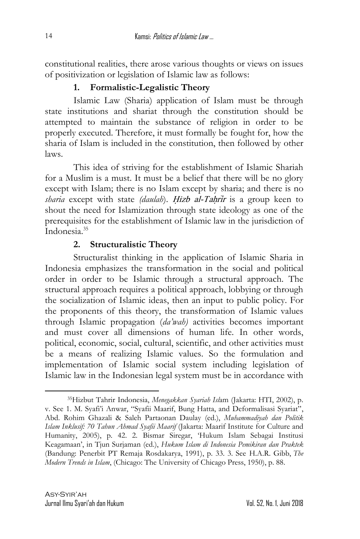constitutional realities, there arose various thoughts or views on issues of positivization or legislation of Islamic law as follows:

# **1. Formalistic-Legalistic Theory**

Islamic Law (Sharia) application of Islam must be through state institutions and shariat through the constitution should be attempted to maintain the substance of religion in order to be properly executed. Therefore, it must formally be fought for, how the sharia of Islam is included in the constitution, then followed by other laws.

This idea of striving for the establishment of Islamic Shariah for a Muslim is a must. It must be a belief that there will be no glory except with Islam; there is no Islam except by sharia; and there is no *sharia* except with state *(daulah)*. Hizb al-Tahrir is a group keen to shout the need for Islamization through state ideology as one of the prerequisites for the establishment of Islamic law in the jurisdiction of Indonesia. 35

# **2. Structuralistic Theory**

Structuralist thinking in the application of Islamic Sharia in Indonesia emphasizes the transformation in the social and political order in order to be Islamic through a structural approach. The structural approach requires a political approach, lobbying or through the socialization of Islamic ideas, then an input to public policy. For the proponents of this theory, the transformation of Islamic values through Islamic propagation (*da'wah)* activities becomes important and must cover all dimensions of human life. In other words, political, economic, social, cultural, scientific, and other activities must be a means of realizing Islamic values. So the formulation and implementation of Islamic social system including legislation of Islamic law in the Indonesian legal system must be in accordance with

<sup>35</sup>Hizbut Tahrir Indonesia, *Menegakkan Syariah Isl*am (Jakarta: HTI, 2002), p. v. See 1. M. Syafi'i Anwar, "Syafii Maarif, Bung Hatta, and Deformalisasi Syariat", Abd. Rohim Ghazali & Saleh Partaonan Daulay (ed.), *Muhammadiyah dan Politik Islam Inklusif: 70 Tahun Ahmad Syafii Maarif* (Jakarta: Maarif Institute for Culture and Humanity, 2005), p. 42. 2. Bismar Siregar, 'Hukum Islam Sebagai Institusi Keagamaan', in Tjun Surjaman (ed.), *Hukum Islam di Indonesia Pemikiran dan Praktek* (Bandung: Penerbit PT Remaja Rosdakarya, 1991), p. 33. 3. See H.A.R. Gibb, *The Modern Trends in Islam*, (Chicago: The University of Chicago Press, 1950), p. 88.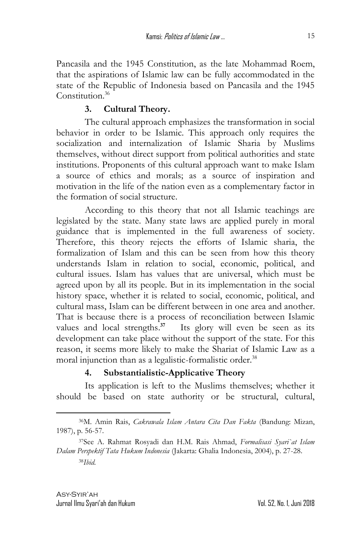Pancasila and the 1945 Constitution, as the late Mohammad Roem, that the aspirations of Islamic law can be fully accommodated in the state of the Republic of Indonesia based on Pancasila and the 1945 Constitution.<sup>36</sup>

## **3. Cultural Theory.**

The cultural approach emphasizes the transformation in social behavior in order to be Islamic. This approach only requires the socialization and internalization of Islamic Sharia by Muslims themselves, without direct support from political authorities and state institutions. Proponents of this cultural approach want to make Islam a source of ethics and morals; as a source of inspiration and motivation in the life of the nation even as a complementary factor in the formation of social structure.

According to this theory that not all Islamic teachings are legislated by the state. Many state laws are applied purely in moral guidance that is implemented in the full awareness of society. Therefore, this theory rejects the efforts of Islamic sharia, the formalization of Islam and this can be seen from how this theory understands Islam in relation to social, economic, political, and cultural issues. Islam has values that are universal, which must be agreed upon by all its people. But in its implementation in the social history space, whether it is related to social, economic, political, and cultural mass, Islam can be different between in one area and another. That is because there is a process of reconciliation between Islamic values and local strengths.<sup>37</sup> Its glory will even be seen as its development can take place without the support of the state. For this reason, it seems more likely to make the Shariat of Islamic Law as a moral injunction than as a legalistic-formalistic order. 38

### **4. Substantialistic-Applicative Theory**

Its application is left to the Muslims themselves; whether it should be based on state authority or be structural, cultural,

<sup>36</sup>M. Amin Rais, *Cakrawala Islam Antara Cita Dan Fakta* (Bandung: Mizan, 1987), p. 56-57.

<sup>37</sup>See A. Rahmat Rosyadi dan H.M. Rais Ahmad, *Formalisasi Syari`at Islam Dalam Perspektif Tata Hukum Indonesia* (Jakarta: Ghalia Indonesia, 2004), p. 27-28. 38*Ibid.*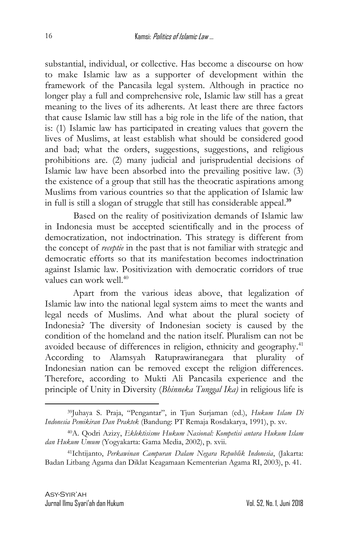substantial, individual, or collective. Has become a discourse on how to make Islamic law as a supporter of development within the framework of the Pancasila legal system. Although in practice no longer play a full and comprehensive role, Islamic law still has a great meaning to the lives of its adherents. At least there are three factors that cause Islamic law still has a big role in the life of the nation, that is: (1) Islamic law has participated in creating values that govern the lives of Muslims, at least establish what should be considered good and bad; what the orders, suggestions, suggestions, and religious prohibitions are. (2) many judicial and jurisprudential decisions of Islamic law have been absorbed into the prevailing positive law. (3) the existence of a group that still has the theocratic aspirations among Muslims from various countries so that the application of Islamic law in full is still a slogan of struggle that still has considerable appeal. **39**

Based on the reality of positivization demands of Islamic law in Indonesia must be accepted scientifically and in the process of democratization, not indoctrination. This strategy is different from the concept of *receptie* in the past that is not familiar with strategic and democratic efforts so that its manifestation becomes indoctrination against Islamic law. Positivization with democratic corridors of true values can work well. 40

Apart from the various ideas above, that legalization of Islamic law into the national legal system aims to meet the wants and legal needs of Muslims. And what about the plural society of Indonesia? The diversity of Indonesian society is caused by the condition of the homeland and the nation itself. Pluralism can not be avoided because of differences in religion, ethnicity and geography.<sup>41</sup> According to Alamsyah Ratuprawiranegara that plurality of Indonesian nation can be removed except the religion differences. Therefore, according to Mukti Ali Pancasila experience and the principle of Unity in Diversity (*Bhinneka Tunggal Ika)* in religious life is

<sup>39</sup>Juhaya S. Praja, "Pengantar", in Tjun Surjaman (ed.), *Hukum Islam Di Indonesia Pemikiran Dan Praktek* (Bandung: PT Remaja Rosdakarya, 1991), p. xv.

<sup>40</sup>A. Qodri Azizy, *Eklektisisme Hukum Nasional: Kompetisi antara Hukum Islam dan Hukum Umum* (Yogyakarta: Gama Media, 2002), p. xvii.

<sup>41</sup>Ichtijanto, *Perkawinan Campuran Dalam Negara Republik Indonesia*, (Jakarta: Badan Litbang Agama dan Diklat Keagamaan Kementerian Agama RI, 2003), p. 41.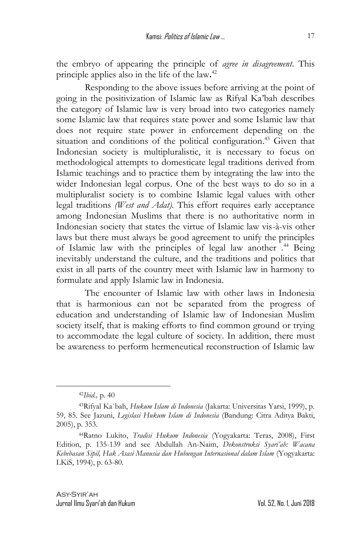the embryo of appearing the principle of *agree in disagreement*. This principle applies also in the life of the law**.** 42

Responding to the above issues before arriving at the point of going in the positivization of Islamic law as Rifyal Ka'bah describes the category of Islamic law is very broad into two categories namely some Islamic law that requires state power and some Islamic law that does not require state power in enforcement depending on the situation and conditions of the political configuration. <sup>43</sup> Given that Indonesian society is multipluralistic, it is necessary to focus on methodological attempts to domesticate legal traditions derived from Islamic teachings and to practice them by integrating the law into the wider Indonesian legal corpus. One of the best ways to do so in a multipluralist society is to combine Islamic legal values with other legal traditions *(West and Adat).* This effort requires early acceptance among Indonesian Muslims that there is no authoritative norm in Indonesian society that states the virtue of Islamic law vis-à-vis other laws but there must always be good agreement to unify the principles of Islamic law with the principles of legal law another . <sup>44</sup> Being inevitably understand the culture, and the traditions and politics that exist in all parts of the country meet with Islamic law in harmony to formulate and apply Islamic law in Indonesia.

The encounter of Islamic law with other laws in Indonesia that is harmonious can not be separated from the progress of education and understanding of Islamic law of Indonesian Muslim society itself, that is making efforts to find common ground or trying to accommodate the legal culture of society. In addition, there must be awareness to perform hermeneutical reconstruction of Islamic law

<sup>42</sup>*Ibid.,* p. 40

<sup>43</sup>Rifyal Ka`bah, *Hukum Islam di Indonesia* (Jakarta: Universitas Yarsi, 1999), p. 59, 85. See Jazuni, *Legislasi Hukum Islam di Indonesia* (Bandung: Citra Aditya Bakti, 2005), p. 353*.*

<sup>44</sup>Ratno Lukito, *Tradisi Hukum Indonesia* (Yogyakarta: Teras, 2008), First Edition, p. 135-139 and see Abdullah An-Naim, *Dekonstruksi Syari'ah: Wacana Kebebasan Sipil, Hak Asasi Manusia dan Hubungan Internasional dalam Islam* (Yogyakarta: LKiS, 1994), p. 63-80.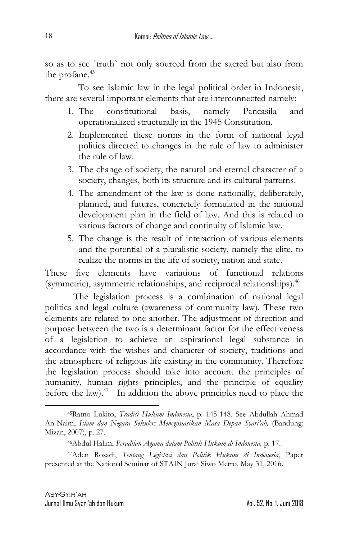so as to see `truth` not only sourced from the sacred but also from the profane. 45

 To see Islamic law in the legal political order in Indonesia, there are several important elements that are interconnected namely:

- 1. The constitutional basis, namely Pancasila and operationalized structurally in the 1945 Constitution.
- 2. Implemented these norms in the form of national legal politics directed to changes in the rule of law to administer the rule of law.
- 3. The change of society, the natural and eternal character of a society, changes, both its structure and its cultural patterns.
- 4. The amendment of the law is done nationally, deliberately, planned, and futures, concretely formulated in the national development plan in the field of law. And this is related to various factors of change and continuity of Islamic law.
- 5. The change is the result of interaction of various elements and the potential of a pluralistic society, namely the elite, to realize the norms in the life of society, nation and state.

These five elements have variations of functional relations (symmetric), asymmetric relationships, and reciprocal relationships).<sup>46</sup>

The legislation process is a combination of national legal politics and legal culture (awareness of community law). These two elements are related to one another. The adjustment of direction and purpose between the two is a determinant factor for the effectiveness of a legislation to achieve an aspirational legal substance in accordance with the wishes and character of society, traditions and the atmosphere of religious life existing in the community. Therefore the legislation process should take into account the principles of humanity, human rights principles, and the principle of equality before the law). $47$  In addition the above principles need to place the

<sup>45</sup>Ratno Lukito, *Tradisi Hukum Indonesia*, p. 145-148. See Abdullah Ahmad An-Naim, *Islam dan Negara Sekuler: Menegosiasikan Masa Depan Syari'ah,* (Bandung: Mizan, 2007), p. 27.

<sup>46</sup>Abdul Halim, *Peradilan Agama dalam Politik Hukum di Indonesia,* p. 17.

<sup>47</sup>Aden Rosadi, *Tentang Legislasi dan Politik Hukum di Indonesia*, Paper presented at the National Seminar of STAIN Jurai Siwo Metro, May 31, 2016.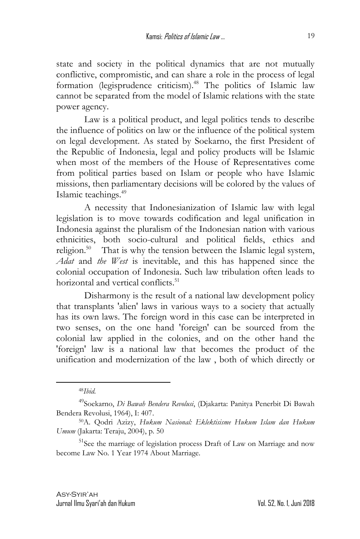state and society in the political dynamics that are not mutually conflictive, compromistic, and can share a role in the process of legal formation (legisprudence criticism).<sup>48</sup> The politics of Islamic law cannot be separated from the model of Islamic relations with the state power agency.

Law is a political product, and legal politics tends to describe the influence of politics on law or the influence of the political system on legal development. As stated by Soekarno, the first President of the Republic of Indonesia, legal and policy products will be Islamic when most of the members of the House of Representatives come from political parties based on Islam or people who have Islamic missions, then parliamentary decisions will be colored by the values of Islamic teachings.<sup>49</sup>

A necessity that Indonesianization of Islamic law with legal legislation is to move towards codification and legal unification in Indonesia against the pluralism of the Indonesian nation with various ethnicities, both socio-cultural and political fields, ethics and religion.<sup>50</sup> That is why the tension between the Islamic legal system, *Adat* and *the West* is inevitable, and this has happened since the colonial occupation of Indonesia. Such law tribulation often leads to horizontal and vertical conflicts.<sup>51</sup>

Disharmony is the result of a national law development policy that transplants 'alien' laws in various ways to a society that actually has its own laws. The foreign word in this case can be interpreted in two senses, on the one hand 'foreign' can be sourced from the colonial law applied in the colonies, and on the other hand the 'foreign' law is a national law that becomes the product of the unification and modernization of the law , both of which directly or

<sup>48</sup>*Ibid.*

<sup>49</sup>Soekarno, *Di Bawah Bendera Revolusi*, (Djakarta: Panitya Penerbit Di Bawah Bendera Revolusi, 1964), I: 407.

<sup>50</sup>A. Qodri Azizy, *Hukum Nasional: Eklektisisme Hukum Islam dan Hukum Umum* (Jakarta: Teraju, 2004), p. 50

<sup>51</sup>See the marriage of legislation process Draft of Law on Marriage and now become Law No. 1 Year 1974 About Marriage.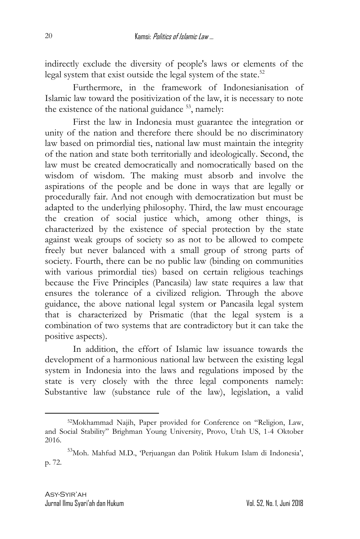indirectly exclude the diversity of people's laws or elements of the legal system that exist outside the legal system of the state.<sup>52</sup>

Furthermore, in the framework of Indonesianisation of Islamic law toward the positivization of the law, it is necessary to note the existence of the national guidance  $53$ , namely:

First the law in Indonesia must guarantee the integration or unity of the nation and therefore there should be no discriminatory law based on primordial ties, national law must maintain the integrity of the nation and state both territorially and ideologically. Second, the law must be created democratically and nomocratically based on the wisdom of wisdom. The making must absorb and involve the aspirations of the people and be done in ways that are legally or procedurally fair. And not enough with democratization but must be adapted to the underlying philosophy. Third, the law must encourage the creation of social justice which, among other things, is characterized by the existence of special protection by the state against weak groups of society so as not to be allowed to compete freely but never balanced with a small group of strong parts of society. Fourth, there can be no public law (binding on communities with various primordial ties) based on certain religious teachings because the Five Principles (Pancasila) law state requires a law that ensures the tolerance of a civilized religion. Through the above guidance, the above national legal system or Pancasila legal system that is characterized by Prismatic (that the legal system is a combination of two systems that are contradictory but it can take the positive aspects).

In addition, the effort of Islamic law issuance towards the development of a harmonious national law between the existing legal system in Indonesia into the laws and regulations imposed by the state is very closely with the three legal components namely: Substantive law (substance rule of the law), legislation, a valid

<sup>52</sup>Mokhammad Najih, Paper provided for Conference on "Religion, Law, and Social Stability" Brighman Young University, Provo, Utah US, 1-4 Oktober 2016.

<sup>&</sup>lt;sup>53</sup>Moh. Mahfud M.D., 'Perjuangan dan Politik Hukum Islam di Indonesia', p. 72.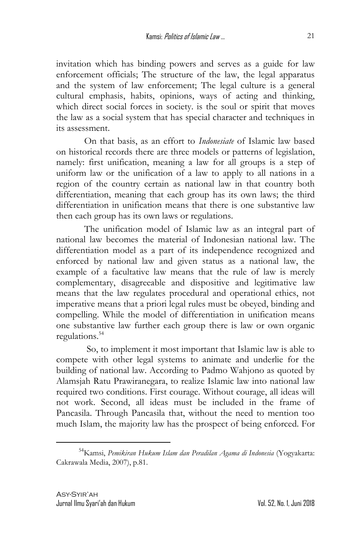invitation which has binding powers and serves as a guide for law enforcement officials; The structure of the law, the legal apparatus and the system of law enforcement; The legal culture is a general cultural emphasis, habits, opinions, ways of acting and thinking, which direct social forces in society, is the soul or spirit that moves the law as a social system that has special character and techniques in its assessment.

On that basis, as an effort to *Indonesiate* of Islamic law based on historical records there are three models or patterns of legislation, namely: first unification, meaning a law for all groups is a step of uniform law or the unification of a law to apply to all nations in a region of the country certain as national law in that country both differentiation, meaning that each group has its own laws; the third differentiation in unification means that there is one substantive law then each group has its own laws or regulations.

The unification model of Islamic law as an integral part of national law becomes the material of Indonesian national law. The differentiation model as a part of its independence recognized and enforced by national law and given status as a national law, the example of a facultative law means that the rule of law is merely complementary, disagreeable and dispositive and legitimative law means that the law regulates procedural and operational ethics, not imperative means that a priori legal rules must be obeyed, binding and compelling. While the model of differentiation in unification means one substantive law further each group there is law or own organic regulations. 54

So, to implement it most important that Islamic law is able to compete with other legal systems to animate and underlie for the building of national law. According to Padmo Wahjono as quoted by Alamsjah Ratu Prawiranegara, to realize Islamic law into national law required two conditions. First courage. Without courage, all ideas will not work. Second, all ideas must be included in the frame of Pancasila. Through Pancasila that, without the need to mention too much Islam, the majority law has the prospect of being enforced. For

<sup>54</sup>Kamsi, *Pemikiran Hukum Islam dan Peradilan Agama di Indonesia* (Yogyakarta: Cakrawala Media, 2007), p.81.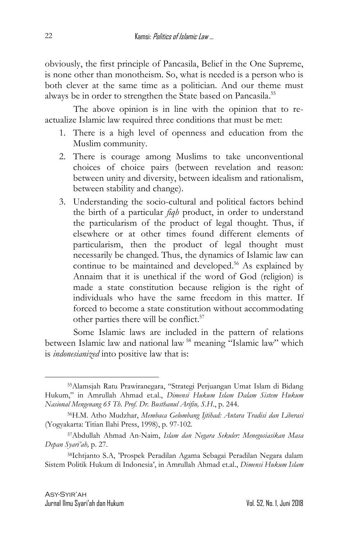obviously, the first principle of Pancasila, Belief in the One Supreme, is none other than monotheism. So, what is needed is a person who is both clever at the same time as a politician. And our theme must always be in order to strengthen the State based on Pancasila.<sup>55</sup>

The above opinion is in line with the opinion that to reactualize Islamic law required three conditions that must be met:

- 1. There is a high level of openness and education from the Muslim community.
- 2. There is courage among Muslims to take unconventional choices of choice pairs (between revelation and reason: between unity and diversity, between idealism and rationalism, between stability and change).
- 3. Understanding the socio-cultural and political factors behind the birth of a particular *fiqh* product, in order to understand the particularism of the product of legal thought. Thus, if elsewhere or at other times found different elements of particularism, then the product of legal thought must necessarily be changed. Thus, the dynamics of Islamic law can continue to be maintained and developed. <sup>56</sup> As explained by Annaim that it is unethical if the word of God (religion) is made a state constitution because religion is the right of individuals who have the same freedom in this matter. If forced to become a state constitution without accommodating other parties there will be conflict. 57

Some Islamic laws are included in the pattern of relations between Islamic law and national law <sup>58</sup> meaning "Islamic law" which is *indonesianized* into positive law that is:

<sup>55</sup>Alamsjah Ratu Prawiranegara, "Strategi Perjuangan Umat Islam di Bidang Hukum," in Amrullah Ahmad et.al., *Dimensi Hukum Islam Dalam Sistem Hukum Nasional Mengenang 65 Th. Prof. Dr. Busthanul Arifin, S.H*., p. 244.

<sup>56</sup>H.M. Atho Mudzhar, *Membaca Gelombang Ijtihad: Antara Tradisi dan Liberasi*  (Yogyakarta: Titian Ilahi Press, 1998), p. 97-102.

<sup>57</sup>Abdullah Ahmad An-Naim, *Islam dan Negara Sekuler: Menegosiasikan Masa Depan Syari'ah,* p. 27.

<sup>58</sup>Ichtjanto S.A, 'Prospek Peradilan Agama Sebagai Peradilan Negara dalam Sistem Politik Hukum di Indonesia', in Amrullah Ahmad et.al., *Dimensi Hukum Islam*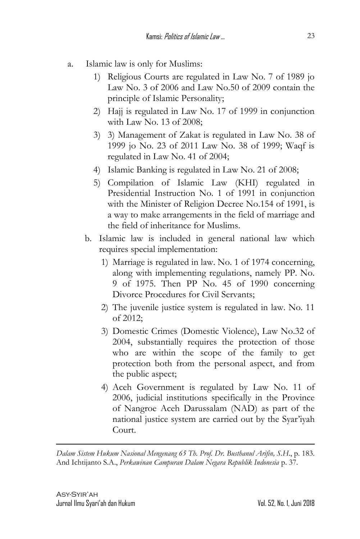- a. Islamic law is only for Muslims:
	- 1) Religious Courts are regulated in Law No. 7 of 1989 jo Law No. 3 of 2006 and Law No.50 of 2009 contain the principle of Islamic Personality;
	- 2) Hajj is regulated in Law No. 17 of 1999 in conjunction with Law No. 13 of 2008;
	- 3) 3) Management of Zakat is regulated in Law No. 38 of 1999 jo No. 23 of 2011 Law No. 38 of 1999; Waqf is regulated in Law No. 41 of 2004;
	- 4) Islamic Banking is regulated in Law No. 21 of 2008;
	- 5) Compilation of Islamic Law (KHI) regulated in Presidential Instruction No. 1 of 1991 in conjunction with the Minister of Religion Decree No.154 of 1991, is a way to make arrangements in the field of marriage and the field of inheritance for Muslims.
	- b. Islamic law is included in general national law which requires special implementation:
		- 1) Marriage is regulated in law. No. 1 of 1974 concerning, along with implementing regulations, namely PP. No. 9 of 1975. Then PP No. 45 of 1990 concerning Divorce Procedures for Civil Servants;
		- 2) The juvenile justice system is regulated in law. No. 11 of 2012;
		- 3) Domestic Crimes (Domestic Violence), Law No.32 of 2004, substantially requires the protection of those who are within the scope of the family to get protection both from the personal aspect, and from the public aspect;
		- 4) Aceh Government is regulated by Law No. 11 of 2006, judicial institutions specifically in the Province of Nangroe Aceh Darussalam (NAD) as part of the national justice system are carried out by the Syar'iyah Court.

*Dalam Sistem Hukum Nasional Mengenang 65 Th. Prof. Dr. Busthanul Arifin, S.H*., p. 183. And Ichtijanto S.A., *Perkawinan Campuran Dalam Negara Republik Indonesia* p. 37.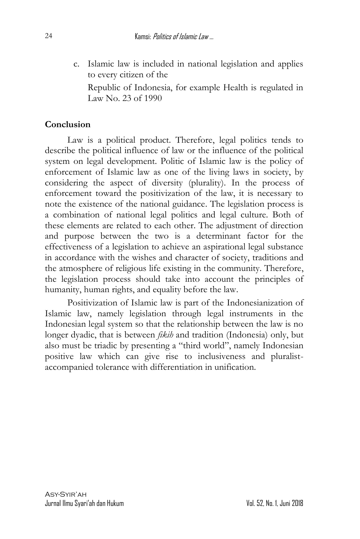c. Islamic law is included in national legislation and applies to every citizen of the

Republic of Indonesia, for example Health is regulated in Law No. 23 of 1990

# **Conclusion**

Law is a political product. Therefore, legal politics tends to describe the political influence of law or the influence of the political system on legal development. Politic of Islamic law is the policy of enforcement of Islamic law as one of the living laws in society, by considering the aspect of diversity (plurality). In the process of enforcement toward the positivization of the law, it is necessary to note the existence of the national guidance. The legislation process is a combination of national legal politics and legal culture. Both of these elements are related to each other. The adjustment of direction and purpose between the two is a determinant factor for the effectiveness of a legislation to achieve an aspirational legal substance in accordance with the wishes and character of society, traditions and the atmosphere of religious life existing in the community. Therefore, the legislation process should take into account the principles of humanity, human rights, and equality before the law.

Positivization of Islamic law is part of the Indonesianization of Islamic law, namely legislation through legal instruments in the Indonesian legal system so that the relationship between the law is no longer dyadic, that is between *fikih* and tradition (Indonesia) only, but also must be triadic by presenting a "third world", namely Indonesian positive law which can give rise to inclusiveness and pluralistaccompanied tolerance with differentiation in unification.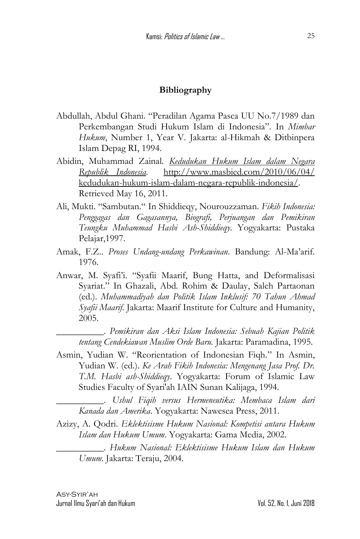#### **Bibliography**

- Abdullah, Abdul Ghani. "Peradilan Agama Pasca UU No.7/1989 dan Perkembangan Studi Hukum Islam di Indonesia". In *Mimbar Hukum*, Number 1, Year V. Jakarta: al-Hikmah & Ditbinpera Islam Depag RI, 1994.
- Abidin, Muhammad Zainal*. [Kedudukan Hukum Islam dalam Negara](http://www.masbied.com/2010/06/04/kedudukan-hukum-islam-dalam-negara-republik-indonesia/)  [Republik Indonesia.](http://www.masbied.com/2010/06/04/kedudukan-hukum-islam-dalam-negara-republik-indonesia/)* [http://www.masbied.com/2010/06/04/](http://www.masbied.com/2010/06/04/%20kedudukan-hukum-islam-dalam-negara-republik-indonesia/) [kedudukan-hukum-islam-dalam-negara-republik-indonesia/.](http://www.masbied.com/2010/06/04/%20kedudukan-hukum-islam-dalam-negara-republik-indonesia/) Retrieved May 16, 2011.
- Ali, Mukti. "Sambutan." In Shiddieqy, Nourouzzaman. *Fikih Indonesia: Penggagas dan Gagasannya, Biografi, Perjuangan dan Pemikiran Teungku Muhammad Hasbi Ash-Shiddieqy*. Yogyakarta: Pustaka Pelajar,1997.
- Amak, F.Z.. *Proses Undang-undang Perkawinan*. Bandung: Al-Ma'arif. 1976.
- Anwar, M. Syafi'i. "Syafii Maarif, Bung Hatta, and Deformalisasi Syariat." In Ghazali, Abd. Rohim & Daulay, Saleh Partaonan (ed.). *Muhammadiyah dan Politik Islam Inklusif: 70 Tahun Ahmad Syafii Maarif*. Jakarta: Maarif Institute for Culture and Humanity, 2005.

\_\_\_\_\_\_\_\_\_\_. *Pemikiran dan Aksi Islam Indonesia: Sebuah Kajian Politik tentang Cendekiawan Muslim Orde Baru.* Jakarta: Paramadina, 1995.

Asmin, Yudian W. "Reorientation of Indonesian Fiqh." In Asmin, Yudian W. (ed.). *Ke Arah Fikih Indonesia: Mengenang Jasa Prof. Dr. T.M. Hasbi ash-Shiddieqy*. Yogyakarta: Forum of Islamic Law Studies Faculty of Syari'ah IAIN Sunan Kalijaga, 1994.

\_\_\_\_\_\_\_\_\_\_. *Ushul Fiqih versus Hermeneutika: Membaca Islam dari Kanada dan Amerika*. Yogyakarta: Nawesea Press, 2011.

- Azizy, A. Qodri. *Eklektisisme Hukum Nasional: Kompetisi antara Hukum Islam dan Hukum Umum*. Yogyakarta: Gama Media, 2002.
	- \_\_\_\_\_\_\_\_\_\_. *Hukum Nasional: Eklektisisme Hukum Islam dan Hukum Umum*. Jakarta: Teraju, 2004.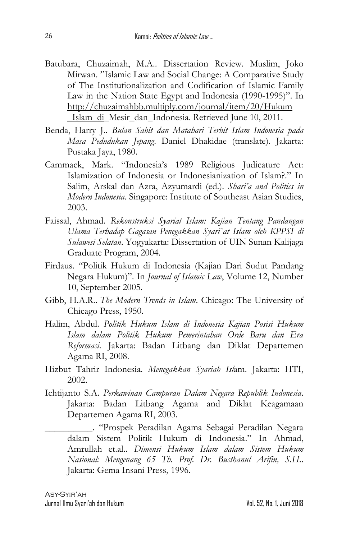- Batubara, Chuzaimah, M.A.. Dissertation Review. Muslim, Joko Mirwan. "Islamic Law and Social Change: A Comparative Study of The Institutionalization and Codification of Islamic Family Law in the Nation State Egypt and Indonesia (1990-1995)". In [http://chuzaimahbb.multiply.com/journal/item/20/Hukum](http://chuzaimahbb.multiply.com/journal/item/20/Hukum%20_Islam_di)  [\\_Islam\\_di\\_](http://chuzaimahbb.multiply.com/journal/item/20/Hukum%20_Islam_di)Mesir\_dan\_Indonesia. Retrieved June 10, 2011.
- Benda, Harry J.. *Bulan Sabit dan Matahari Terbit Islam Indonesia pada Masa Pedudukan Jepang*. Daniel Dhakidae (translate). Jakarta: Pustaka Jaya, 1980.
- Cammack, Mark. "Indonesia's 1989 Religious Judicature Act: Islamization of Indonesia or Indonesianization of Islam<sup>2</sup>" In Salim, Arskal dan Azra, Azyumardi (ed.). *Shari'a and Politics in Modern Indonesia*. Singapore: Institute of Southeast Asian Studies, 2003.
- Faissal, Ahmad. *Rekonstruksi Syariat Islam: Kajian Tentang Pandangan Ulama Terhadap Gagasan Penegakkan Syari`at Islam oleh KPPSI di Sulawesi Selatan*. Yogyakarta: Dissertation of UIN Sunan Kalijaga Graduate Program, 2004.
- Firdaus. "Politik Hukum di Indonesia (Kajian Dari Sudut Pandang Negara Hukum)". In *Journal of Islamic Law*, Volume 12, Number 10, September 2005.
- Gibb, H.A.R.. *The Modern Trends in Islam*. Chicago: The University of Chicago Press, 1950.
- Halim, Abdul. *Politik Hukum Islam di Indonesia Kajian Posisi Hukum Islam dalam Politik Hukum Pemerintahan Orde Baru dan Era Reformasi*. Jakarta: Badan Litbang dan Diklat Departemen Agama RI, 2008.
- Hizbut Tahrir Indonesia. *Menegakkan Syariah Isl*am. Jakarta: HTI, 2002.
- Ichtijanto S.A. *Perkawinan Campuran Dalam Negara Republik Indonesia*. Jakarta: Badan Litbang Agama and Diklat Keagamaan Departemen Agama RI, 2003.
	- \_\_\_\_\_\_\_\_\_\_. "Prospek Peradilan Agama Sebagai Peradilan Negara dalam Sistem Politik Hukum di Indonesia." In Ahmad, Amrullah et.al.. *Dimensi Hukum Islam dalam Sistem Hukum Nasional: Mengenang 65 Th. Prof. Dr. Busthanul Arifin, S.H*.. Jakarta: Gema Insani Press, 1996.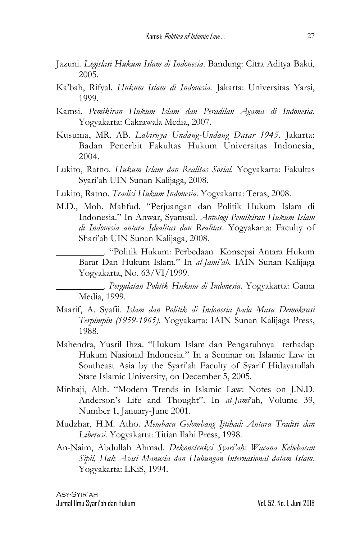- Jazuni. *Legislasi Hukum Islam di Indonesia*. Bandung: Citra Aditya Bakti, 2005*.*
- Ka'bah, Rifyal. *Hukum Islam di Indonesia.* Jakarta: Universitas Yarsi, 1999.
- Kamsi. *Pemikiran Hukum Islam dan Peradilan Agama di Indonesia*. Yogyakarta: Cakrawala Media, 2007.
- Kusuma, MR. AB. *Lahirnya Undang-Undang Dasar 1945.* Jakarta: Badan Penerbit Fakultas Hukum Universitas Indonesia, 2004.
- Lukito, Ratno. *Hukum Islam dan Realitas Sosial.* Yogyakarta: Fakultas Syari'ah UIN Sunan Kalijaga, 2008.
- Lukito, Ratno. *Tradisi Hukum Indonesia.* Yogyakarta: Teras, 2008.
- M.D., Moh. Mahfud. "Perjuangan dan Politik Hukum Islam di Indonesia." In Anwar, Syamsul. *Antologi Pemikiran Hukum Islam di Indonesia antara Idealitas dan Realitas*. Yogyakarta: Faculty of Shari'ah UIN Sunan Kalijaga, 2008.

\_\_\_\_\_\_\_\_\_\_. "Politik Hukum: Perbedaan Konsepsi Antara Hukum Barat Dan Hukum Islam." In *al-Jami'ah.* IAIN Sunan Kalijaga Yogyakarta, No. 63/VI/1999.

\_\_\_\_\_\_\_\_\_\_. *Pergulatan Politik Hukum di Indonesia.* Yogyakarta: Gama Media, 1999.

- Maarif, A. Syafii. *Islam dan Politik di Indonesia pada Masa Demokrasi Terpimpin (1959-1965).* Yogyakarta: IAIN Sunan Kalijaga Press, 1988.
- Mahendra, Yusril Ihza. "Hukum Islam dan Pengaruhnya terhadap Hukum Nasional Indonesia." In a Seminar on Islamic Law in Southeast Asia by the Syari'ah Faculty of Syarif Hidayatullah State Islamic University, on December 5, 2005.
- Minhaji, Akh. "Modern Trends in Islamic Law: Notes on J.N.D. Anderson's Life and Thought". In *al*-*Jami*'ah, Volume 39, Number 1, January-June 2001.
- Mudzhar, H.M. Atho. *Membaca Gelombang Ijtihad: Antara Tradisi dan Liberasi.* Yogyakarta: Titian Ilahi Press, 1998.
- An-Naim, Abdullah Ahmad. *Dekonstruksi Syari'ah: Wacana Kebebasan Sipil, Hak Asasi Manusia dan Hubungan Internasional dalam Islam*. Yogyakarta: LKiS, 1994.

Asy-Syir'ah Jurnal Ilmu Syari'ah dan Hukum Vol. 52, No. 1, Juni 2018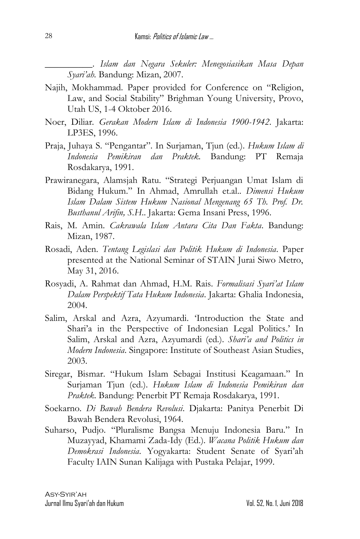\_\_\_\_\_\_\_\_\_\_. *Islam dan Negara Sekuler: Menegosiasikan Masa Depan Syari'ah.* Bandung: Mizan, 2007.

- Najih, Mokhammad. Paper provided for Conference on "Religion, Law, and Social Stability" Brighman Young University, Provo, Utah US, 1-4 Oktober 2016.
- Noer, Diliar*. Gerakan Modern Islam di Indonesia 1900-1942*. Jakarta: LP3ES, 1996.
- Praja, Juhaya S. "Pengantar". In Surjaman, Tjun (ed.). *Hukum Islam di Indonesia Pemikiran dan Praktek.* Bandung: PT Remaja Rosdakarya, 1991.
- Prawiranegara, Alamsjah Ratu. "Strategi Perjuangan Umat Islam di Bidang Hukum." In Ahmad, Amrullah et.al.. *Dimensi Hukum Islam Dalam Sistem Hukum Nasional Mengenang 65 Th. Prof. Dr. Busthanul Arifin, S.H*.. Jakarta: Gema Insani Press, 1996.
- Rais, M. Amin. *Cakrawala Islam Antara Cita Dan Fakta*. Bandung: Mizan, 1987.
- Rosadi, Aden. *Tentang Legislasi dan Politik Hukum di Indonesia*. Paper presented at the National Seminar of STAIN Jurai Siwo Metro, May 31, 2016.
- Rosyadi, A. Rahmat dan Ahmad, H.M. Rais. *Formalisasi Syari'at Islam Dalam Perspektif Tata Hukum Indonesia*. Jakarta: Ghalia Indonesia, 2004.
- Salim, Arskal and Azra, Azyumardi. 'Introduction the State and Shari'a in the Perspective of Indonesian Legal Politics.' In Salim, Arskal and Azra, Azyumardi (ed.). *Shari'a and Politics in Modern Indonesia*. Singapore: Institute of Southeast Asian Studies, 2003.
- Siregar, Bismar. "Hukum Islam Sebagai Institusi Keagamaan." In Surjaman Tjun (ed.). *Hukum Islam di Indonesia Pemikiran dan Praktek*. Bandung: Penerbit PT Remaja Rosdakarya, 1991.
- Soekarno. *Di Bawah Bendera Revolusi*. Djakarta: Panitya Penerbit Di Bawah Bendera Revolusi, 1964.
- Suharso, Pudjo. "Pluralisme Bangsa Menuju Indonesia Baru." In Muzayyad, Khamami Zada-Idy (Ed.). *Wacana Politik Hukum dan Demokrasi Indonesia*. Yogyakarta: Student Senate of Syari'ah Faculty IAIN Sunan Kalijaga with Pustaka Pelajar, 1999.

28